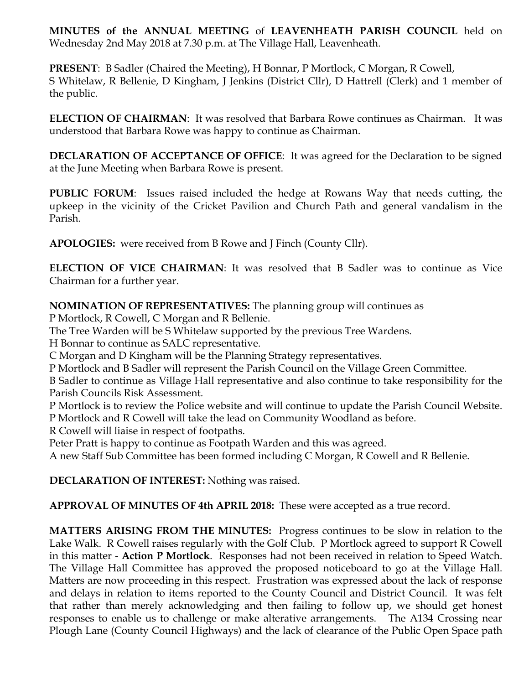**MINUTES of the ANNUAL MEETING** of **LEAVENHEATH PARISH COUNCIL** held on Wednesday 2nd May 2018 at 7.30 p.m. at The Village Hall, Leavenheath.

**PRESENT**: B Sadler (Chaired the Meeting), H Bonnar, P Mortlock, C Morgan, R Cowell, S Whitelaw, R Bellenie, D Kingham, J Jenkins (District Cllr), D Hattrell (Clerk) and 1 member of the public.

**ELECTION OF CHAIRMAN**: It was resolved that Barbara Rowe continues as Chairman. It was understood that Barbara Rowe was happy to continue as Chairman.

**DECLARATION OF ACCEPTANCE OF OFFICE**: It was agreed for the Declaration to be signed at the June Meeting when Barbara Rowe is present.

**PUBLIC FORUM**: Issues raised included the hedge at Rowans Way that needs cutting, the upkeep in the vicinity of the Cricket Pavilion and Church Path and general vandalism in the Parish.

**APOLOGIES:** were received from B Rowe and J Finch (County Cllr).

**ELECTION OF VICE CHAIRMAN**: It was resolved that B Sadler was to continue as Vice Chairman for a further year.

**NOMINATION OF REPRESENTATIVES:** The planning group will continues as

P Mortlock, R Cowell, C Morgan and R Bellenie.

The Tree Warden will be S Whitelaw supported by the previous Tree Wardens.

H Bonnar to continue as SALC representative.

C Morgan and D Kingham will be the Planning Strategy representatives.

P Mortlock and B Sadler will represent the Parish Council on the Village Green Committee.

B Sadler to continue as Village Hall representative and also continue to take responsibility for the Parish Councils Risk Assessment.

P Mortlock is to review the Police website and will continue to update the Parish Council Website. P Mortlock and R Cowell will take the lead on Community Woodland as before.

R Cowell will liaise in respect of footpaths.

Peter Pratt is happy to continue as Footpath Warden and this was agreed.

A new Staff Sub Committee has been formed including C Morgan, R Cowell and R Bellenie.

**DECLARATION OF INTEREST:** Nothing was raised.

**APPROVAL OF MINUTES OF 4th APRIL 2018:** These were accepted as a true record.

**MATTERS ARISING FROM THE MINUTES:** Progress continues to be slow in relation to the Lake Walk. R Cowell raises regularly with the Golf Club. P Mortlock agreed to support R Cowell in this matter - **Action P Mortlock**. Responses had not been received in relation to Speed Watch. The Village Hall Committee has approved the proposed noticeboard to go at the Village Hall. Matters are now proceeding in this respect. Frustration was expressed about the lack of response and delays in relation to items reported to the County Council and District Council. It was felt that rather than merely acknowledging and then failing to follow up, we should get honest responses to enable us to challenge or make alterative arrangements. The A134 Crossing near Plough Lane (County Council Highways) and the lack of clearance of the Public Open Space path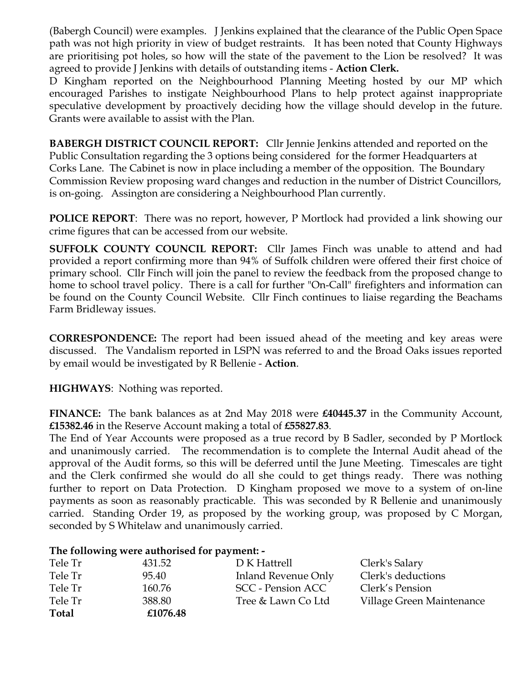(Babergh Council) were examples. J Jenkins explained that the clearance of the Public Open Space path was not high priority in view of budget restraints. It has been noted that County Highways are prioritising pot holes, so how will the state of the pavement to the Lion be resolved? It was agreed to provide J Jenkins with details of outstanding items - **Action Clerk.**

D Kingham reported on the Neighbourhood Planning Meeting hosted by our MP which encouraged Parishes to instigate Neighbourhood Plans to help protect against inappropriate speculative development by proactively deciding how the village should develop in the future. Grants were available to assist with the Plan.

**BABERGH DISTRICT COUNCIL REPORT:** Cllr Jennie Jenkins attended and reported on the Public Consultation regarding the 3 options being considered for the former Headquarters at Corks Lane. The Cabinet is now in place including a member of the opposition. The Boundary Commission Review proposing ward changes and reduction in the number of District Councillors, is on-going. Assington are considering a Neighbourhood Plan currently.

**POLICE REPORT**: There was no report, however, P Mortlock had provided a link showing our crime figures that can be accessed from our website.

**SUFFOLK COUNTY COUNCIL REPORT:** Cllr James Finch was unable to attend and had provided a report confirming more than 94% of Suffolk children were offered their first choice of primary school. Cllr Finch will join the panel to review the feedback from the proposed change to home to school travel policy. There is a call for further "On-Call" firefighters and information can be found on the County Council Website. Cllr Finch continues to liaise regarding the Beachams Farm Bridleway issues.

**CORRESPONDENCE:** The report had been issued ahead of the meeting and key areas were discussed. The Vandalism reported in LSPN was referred to and the Broad Oaks issues reported by email would be investigated by R Bellenie - **Action**.

**HIGHWAYS**: Nothing was reported.

**FINANCE:** The bank balances as at 2nd May 2018 were **£40445.37** in the Community Account, **£15382.46** in the Reserve Account making a total of **£55827.83**.

The End of Year Accounts were proposed as a true record by B Sadler, seconded by P Mortlock and unanimously carried. The recommendation is to complete the Internal Audit ahead of the approval of the Audit forms, so this will be deferred until the June Meeting. Timescales are tight and the Clerk confirmed she would do all she could to get things ready. There was nothing further to report on Data Protection. D Kingham proposed we move to a system of on-line payments as soon as reasonably practicable. This was seconded by R Bellenie and unanimously carried. Standing Order 19, as proposed by the working group, was proposed by C Morgan, seconded by S Whitelaw and unanimously carried.

## **The following were authorised for payment: -**

| Tele Tr      | 431.52   | D K Hattrell        | Clerk's Salary            |
|--------------|----------|---------------------|---------------------------|
| Tele Tr      | 95.40    | Inland Revenue Only | Clerk's deductions        |
| Tele Tr      | 160.76   | SCC - Pension ACC   | Clerk's Pension           |
| Tele Tr      | 388.80   | Tree & Lawn Co Ltd  | Village Green Maintenance |
| <b>Total</b> | £1076.48 |                     |                           |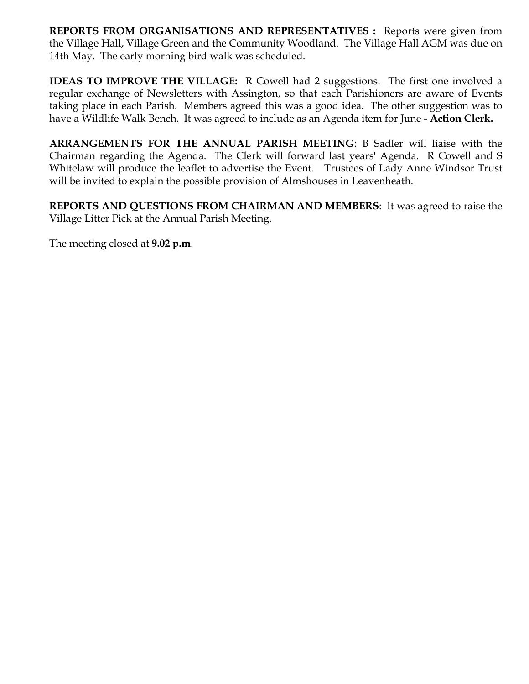**REPORTS FROM ORGANISATIONS AND REPRESENTATIVES :** Reports were given from the Village Hall, Village Green and the Community Woodland. The Village Hall AGM was due on 14th May. The early morning bird walk was scheduled.

**IDEAS TO IMPROVE THE VILLAGE:** R Cowell had 2 suggestions. The first one involved a regular exchange of Newsletters with Assington, so that each Parishioners are aware of Events taking place in each Parish. Members agreed this was a good idea. The other suggestion was to have a Wildlife Walk Bench. It was agreed to include as an Agenda item for June **- Action Clerk.** 

**ARRANGEMENTS FOR THE ANNUAL PARISH MEETING**: B Sadler will liaise with the Chairman regarding the Agenda. The Clerk will forward last years' Agenda. R Cowell and S Whitelaw will produce the leaflet to advertise the Event. Trustees of Lady Anne Windsor Trust will be invited to explain the possible provision of Almshouses in Leavenheath.

**REPORTS AND QUESTIONS FROM CHAIRMAN AND MEMBERS**: It was agreed to raise the Village Litter Pick at the Annual Parish Meeting.

The meeting closed at **9.02 p.m**.